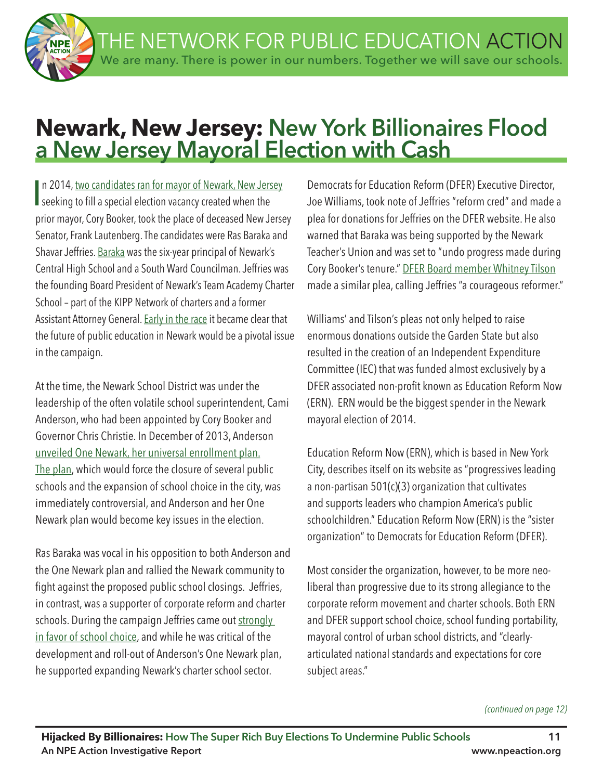THE NETWORK FOR PUBLIC EDUCATION ACTION We are many. There is power in our numbers. Together we will save our schools.

# **Newark, New Jersey: New York Billionaires Flood a New Jersey Mayoral Election with Cash**

In 2014, two candidates ran for mayor of Newark, New Jers<br>seeking to fill a special election vacancy created when the n 2014, two candidates ran for mayor of Newark, New Jersey prior mayor, Cory Booker, took the place of deceased New Jersey Senator, Frank Lautenberg. The candidates were Ras Baraka and Shavar Jeffries. Baraka was the six-year principal of Newark's Central High School and a South Ward Councilman. Jeffries was the founding Board President of Newark's Team Academy Charter School – part of the KIPP Network of charters and a former Assistant Attorney General. Early in the race it became clear that the future of public education in Newark would be a pivotal issue in the campaign.

At the time, the Newark School District was under the leadership of the often volatile school superintendent, Cami Anderson, who had been appointed by Cory Booker and Governor Chris Christie. In December of 2013, Anderson unveiled One Newark, her universal enrollment plan. The plan, which would force the closure of several public schools and the expansion of school choice in the city, was immediately controversial, and Anderson and her One Newark plan would become key issues in the election.

Ras Baraka was vocal in his opposition to both Anderson and the One Newark plan and rallied the Newark community to fght against the proposed public school closings. Jeffries, in contrast, was a supporter of corporate reform and charter schools. During the campaign Jeffries came out strongly in favor of school choice, and while he was critical of the development and roll-out of Anderson's One Newark plan, he supported expanding Newark's charter school sector.

Democrats for Education Reform (DFER) Executive Director, Joe Williams, took note of Jeffries "reform cred" and made a plea for donations for Jeffries on the DFER website. He also warned that Baraka was being supported by the Newark Teacher's Union and was set to "undo progress made during Cory Booker's tenure." DFER Board member Whitney Tilson made a similar plea, calling Jeffries "a courageous reformer."

Williams' and Tilson's pleas not only helped to raise enormous donations outside the Garden State but also resulted in the creation of an Independent Expenditure Committee (IEC) that was funded almost exclusively by a DFER associated non-profit known as Education Reform Now (ERN). ERN would be the biggest spender in the Newark mayoral election of 2014.

Education Reform Now (ERN), which is based in New York City, describes itself on its website as "progressives leading a non-partisan 501(c)(3) organization that cultivates and supports leaders who champion America's public schoolchildren." Education Reform Now (ERN) is the "sister organization" to Democrats for Education Reform (DFER).

Most consider the organization, however, to be more neoliberal than progressive due to its strong allegiance to the corporate reform movement and charter schools. Both ERN and DFER support school choice, school funding portability, mayoral control of urban school districts, and "clearlyarticulated national standards and expectations for core subject areas."

*(continued on page 12)*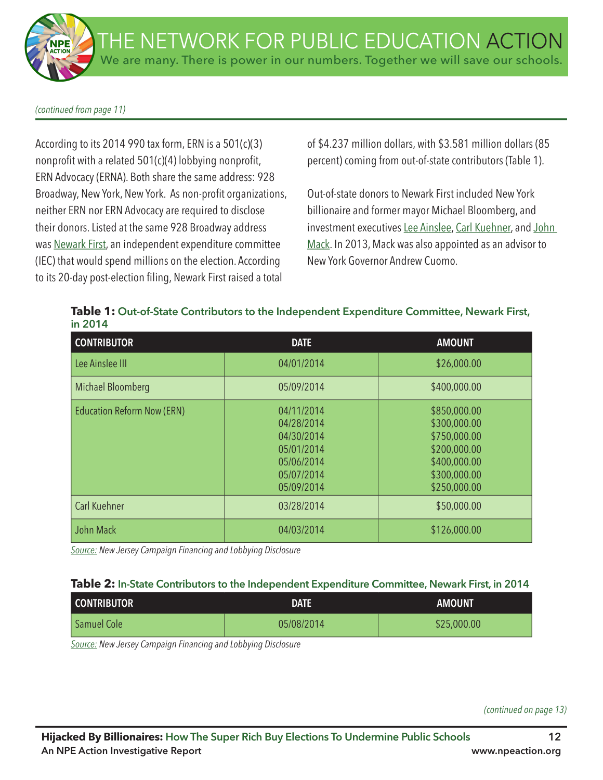*(continued from page 11)*

According to its 2014 990 tax form, ERN is a 501(c)(3) nonprofit with a related  $501(c)(4)$  lobbying nonprofit, ERN Advocacy (ERNA). Both share the same address: 928 Broadway, New York, New York. As non-profit organizations, neither ERN nor ERN Advocacy are required to disclose their donors. Listed at the same 928 Broadway address was Newark First, an independent expenditure committee (IEC) that would spend millions on the election. According to its 20-day post-election fling, Newark First raised a total

of \$4.237 million dollars, with \$3.581 million dollars (85 percent) coming from out-of-state contributors (Table 1).

Out-of-state donors to Newark First included New York billionaire and former mayor Michael Bloomberg, and investment executives Lee Ainslee, Carl Kuehner, and John Mack. In 2013, Mack was also appointed as an advisor to New York Governor Andrew Cuomo.

**Table 1: Out-of-State Contributors to the Independent Expenditure Committee, Newark First, in 2014**

| <b>CONTRIBUTOR</b>                | <b>DATE</b>                                                                                    | <b>AMOUNT</b>                                                                                                |
|-----------------------------------|------------------------------------------------------------------------------------------------|--------------------------------------------------------------------------------------------------------------|
| Lee Ainslee III                   | 04/01/2014                                                                                     | \$26,000.00                                                                                                  |
| Michael Bloomberg                 | 05/09/2014                                                                                     | \$400,000.00                                                                                                 |
| <b>Education Reform Now (ERN)</b> | 04/11/2014<br>04/28/2014<br>04/30/2014<br>05/01/2014<br>05/06/2014<br>05/07/2014<br>05/09/2014 | \$850,000.00<br>\$300,000.00<br>\$750,000.00<br>\$200,000.00<br>\$400,000.00<br>\$300,000.00<br>\$250,000.00 |
| <b>Carl Kuehner</b>               | 03/28/2014                                                                                     | \$50,000.00                                                                                                  |
| John Mack                         | 04/03/2014                                                                                     | \$126,000.00                                                                                                 |

*Source: New Jersey Campaign Financing and Lobbying Disclosure*

| <b>CONTRIBUTOR</b> | <b>DATE</b> | <b>AMOUNT</b> |
|--------------------|-------------|---------------|
| Samuel Cole        | 05/08/2014  | \$25,000.00   |

*Source: New Jersey Campaign Financing and Lobbying Disclosure*

*(continued on page 13)*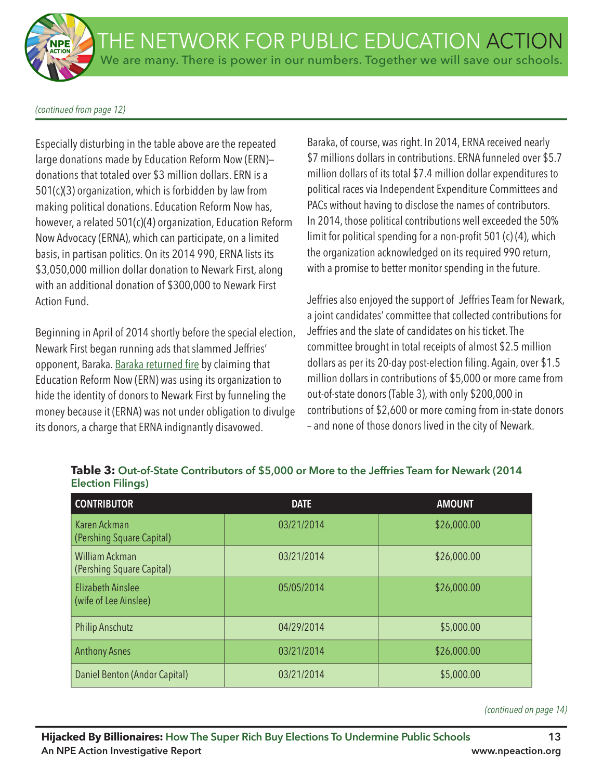#### *(continued from page 12)*

Especially disturbing in the table above are the repeated large donations made by Education Reform Now (ERN) donations that totaled over \$3 million dollars. ERN is a 501(c)(3) organization, which is forbidden by law from making political donations. Education Reform Now has, however, a related 501(c)(4) organization, Education Reform Now Advocacy (ERNA), which can participate, on a limited basis, in partisan politics. On its 2014 990, ERNA lists its \$3,050,000 million dollar donation to Newark First, along with an additional donation of \$300,000 to Newark First Action Fund.

Beginning in April of 2014 shortly before the special election, Newark First began running ads that slammed Jeffries' opponent, Baraka. Baraka returned fire by claiming that Education Reform Now (ERN) was using its organization to hide the identity of donors to Newark First by funneling the money because it (ERNA) was not under obligation to divulge its donors, a charge that ERNA indignantly disavowed.

Baraka, of course, was right. In 2014, ERNA received nearly \$7 millions dollars in contributions. ERNA funneled over \$5.7 million dollars of its total \$7.4 million dollar expenditures to political races via Independent Expenditure Committees and PACs without having to disclose the names of contributors. In 2014, those political contributions well exceeded the 50% limit for political spending for a non-profit 501 (c) (4), which the organization acknowledged on its required 990 return, with a promise to better monitor spending in the future.

Jeffries also enjoyed the support of Jeffries Team for Newark, a joint candidates' committee that collected contributions for Jeffries and the slate of candidates on his ticket. The committee brought in total receipts of almost \$2.5 million dollars as per its 20-day post-election filing. Again, over \$1.5 million dollars in contributions of \$5,000 or more came from out-of-state donors (Table 3), with only \$200,000 in contributions of \$2,600 or more coming from in-state donors – and none of those donors lived in the city of Newark.

| <b>CONTRIBUTOR</b>                                | <b>DATE</b> | <b>AMOUNT</b> |
|---------------------------------------------------|-------------|---------------|
| Karen Ackman<br>(Pershing Square Capital)         | 03/21/2014  | \$26,000.00   |
| William Ackman<br>(Pershing Square Capital)       | 03/21/2014  | \$26,000.00   |
| <b>Elizabeth Ainslee</b><br>(wife of Lee Ainslee) | 05/05/2014  | \$26,000.00   |
| <b>Philip Anschutz</b>                            | 04/29/2014  | \$5,000.00    |
| <b>Anthony Asnes</b>                              | 03/21/2014  | \$26,000.00   |
| Daniel Benton (Andor Capital)                     | 03/21/2014  | \$5,000.00    |

# **Table 3: Out-of-State Contributors of \$5,000 or More to the Jeffries Team for Newark (2014 Election Filings)**

*(continued on page 14)*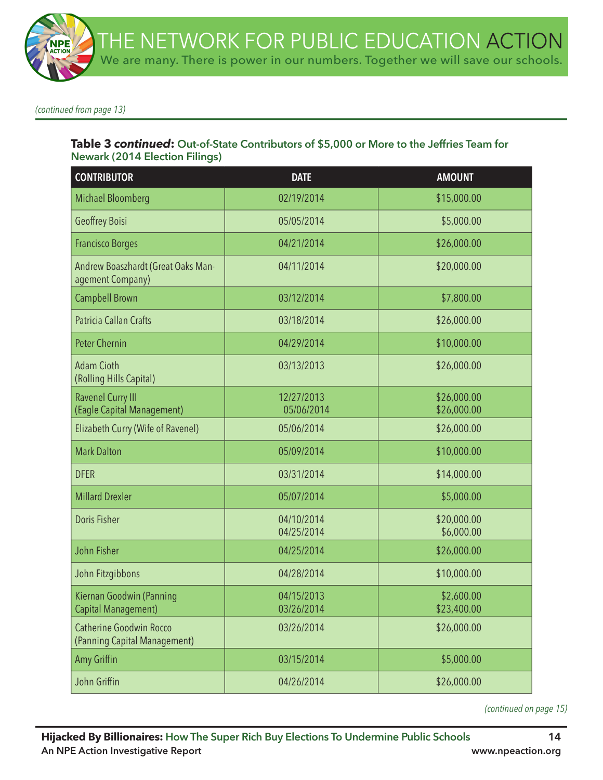*(continued from page 13)*

# **Table 3** *continued***: Out-of-State Contributors of \$5,000 or More to the Jeffries Team for Newark (2014 Election Filings)**

| <b>CONTRIBUTOR</b>                                             | <b>DATE</b>              | <b>AMOUNT</b>              |
|----------------------------------------------------------------|--------------------------|----------------------------|
| <b>Michael Bloomberg</b>                                       | 02/19/2014               | \$15,000.00                |
| Geoffrey Boisi                                                 | 05/05/2014               | \$5,000.00                 |
| <b>Francisco Borges</b>                                        | 04/21/2014               | \$26,000.00                |
| Andrew Boaszhardt (Great Oaks Man-<br>agement Company)         | 04/11/2014               | \$20,000.00                |
| <b>Campbell Brown</b>                                          | 03/12/2014               | \$7,800.00                 |
| Patricia Callan Crafts                                         | 03/18/2014               | \$26,000.00                |
| <b>Peter Chernin</b>                                           | 04/29/2014               | \$10,000.00                |
| <b>Adam Cioth</b><br>(Rolling Hills Capital)                   | 03/13/2013               | \$26,000.00                |
| <b>Ravenel Curry III</b><br>(Eagle Capital Management)         | 12/27/2013<br>05/06/2014 | \$26,000.00<br>\$26,000.00 |
| Elizabeth Curry (Wife of Ravenel)                              | 05/06/2014               | \$26,000.00                |
| <b>Mark Dalton</b>                                             | 05/09/2014               | \$10,000.00                |
| <b>DFER</b>                                                    | 03/31/2014               | \$14,000.00                |
| <b>Millard Drexler</b>                                         | 05/07/2014               | \$5,000.00                 |
| <b>Doris Fisher</b>                                            | 04/10/2014<br>04/25/2014 | \$20,000.00<br>\$6,000.00  |
| John Fisher                                                    | 04/25/2014               | \$26,000.00                |
| John Fitzgibbons                                               | 04/28/2014               | \$10,000.00                |
| Kiernan Goodwin (Panning<br><b>Capital Management)</b>         | 04/15/2013<br>03/26/2014 | \$2,600.00<br>\$23,400.00  |
| <b>Catherine Goodwin Rocco</b><br>(Panning Capital Management) | 03/26/2014               | \$26,000.00                |
| Amy Griffin                                                    | 03/15/2014               | \$5,000.00                 |
| John Griffin                                                   | 04/26/2014               | \$26,000.00                |

*(continued on page 15)*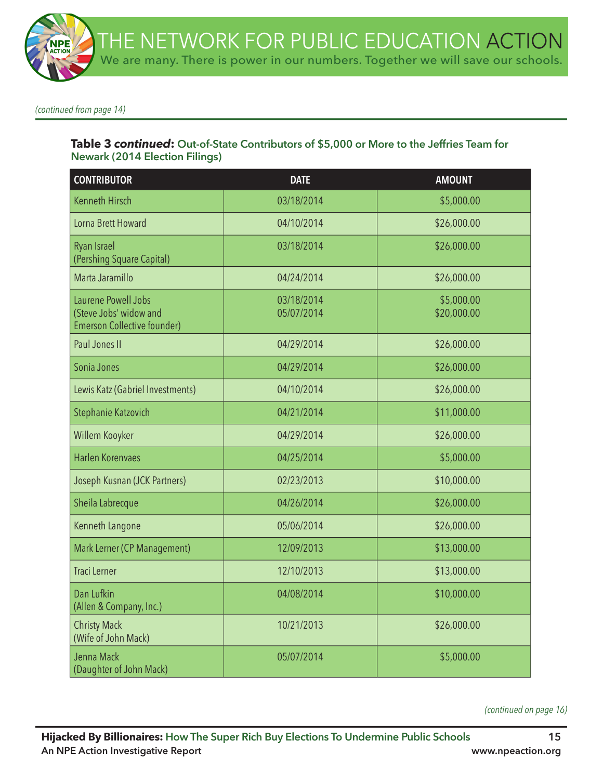*(continued from page 14)*

# **Table 3** *continued***: Out-of-State Contributors of \$5,000 or More to the Jeffries Team for Newark (2014 Election Filings)**

| <b>CONTRIBUTOR</b>                                                                  | <b>DATE</b>              | <b>AMOUNT</b>             |
|-------------------------------------------------------------------------------------|--------------------------|---------------------------|
| <b>Kenneth Hirsch</b>                                                               | 03/18/2014               | \$5,000.00                |
| Lorna Brett Howard                                                                  | 04/10/2014               | \$26,000.00               |
| <b>Ryan Israel</b><br>(Pershing Square Capital)                                     | 03/18/2014               | \$26,000.00               |
| Marta Jaramillo                                                                     | 04/24/2014               | \$26,000.00               |
| Laurene Powell Jobs<br>(Steve Jobs' widow and<br><b>Emerson Collective founder)</b> | 03/18/2014<br>05/07/2014 | \$5,000.00<br>\$20,000.00 |
| Paul Jones II                                                                       | 04/29/2014               | \$26,000.00               |
| Sonia Jones                                                                         | 04/29/2014               | \$26,000.00               |
| Lewis Katz (Gabriel Investments)                                                    | 04/10/2014               | \$26,000.00               |
| Stephanie Katzovich                                                                 | 04/21/2014               | \$11,000.00               |
| Willem Kooyker                                                                      | 04/29/2014               | \$26,000.00               |
| <b>Harlen Korenvaes</b>                                                             | 04/25/2014               | \$5,000.00                |
| Joseph Kusnan (JCK Partners)                                                        | 02/23/2013               | \$10,000.00               |
| Sheila Labrecque                                                                    | 04/26/2014               | \$26,000.00               |
| Kenneth Langone                                                                     | 05/06/2014               | \$26,000.00               |
| Mark Lerner (CP Management)                                                         | 12/09/2013               | \$13,000.00               |
| <b>Traci Lerner</b>                                                                 | 12/10/2013               | \$13,000.00               |
| Dan Lufkin<br>(Allen & Company, Inc.)                                               | 04/08/2014               | \$10,000.00               |
| <b>Christy Mack</b><br>(Wife of John Mack)                                          | 10/21/2013               | \$26,000.00               |
| Jenna Mack<br>(Daughter of John Mack)                                               | 05/07/2014               | \$5,000.00                |

*(continued on page 16)*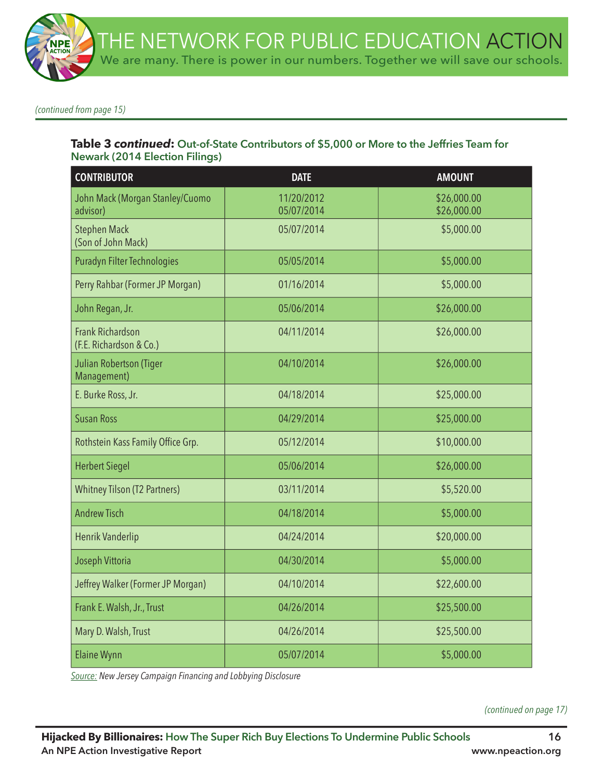*(continued from page 15)*

## **Table 3** *continued***: Out-of-State Contributors of \$5,000 or More to the Jeffries Team for Newark (2014 Election Filings)**

| <b>CONTRIBUTOR</b>                                 | <b>DATE</b>              | <b>AMOUNT</b>              |
|----------------------------------------------------|--------------------------|----------------------------|
| John Mack (Morgan Stanley/Cuomo<br>advisor)        | 11/20/2012<br>05/07/2014 | \$26,000.00<br>\$26,000.00 |
| <b>Stephen Mack</b><br>(Son of John Mack)          | 05/07/2014               | \$5,000.00                 |
| Puradyn Filter Technologies                        | 05/05/2014               | \$5,000.00                 |
| Perry Rahbar (Former JP Morgan)                    | 01/16/2014               | \$5,000.00                 |
| John Regan, Jr.                                    | 05/06/2014               | \$26,000.00                |
| <b>Frank Richardson</b><br>(F.E. Richardson & Co.) | 04/11/2014               | \$26,000.00                |
| Julian Robertson (Tiger<br>Management)             | 04/10/2014               | \$26,000.00                |
| E. Burke Ross, Jr.                                 | 04/18/2014               | \$25,000.00                |
| <b>Susan Ross</b>                                  | 04/29/2014               | \$25,000.00                |
| Rothstein Kass Family Office Grp.                  | 05/12/2014               | \$10,000.00                |
| <b>Herbert Siegel</b>                              | 05/06/2014               | \$26,000.00                |
| <b>Whitney Tilson (T2 Partners)</b>                | 03/11/2014               | \$5,520.00                 |
| <b>Andrew Tisch</b>                                | 04/18/2014               | \$5,000.00                 |
| Henrik Vanderlip                                   | 04/24/2014               | \$20,000.00                |
| Joseph Vittoria                                    | 04/30/2014               | \$5,000.00                 |
| Jeffrey Walker (Former JP Morgan)                  | 04/10/2014               | \$22,600.00                |
| Frank E. Walsh, Jr., Trust                         | 04/26/2014               | \$25,500.00                |
| Mary D. Walsh, Trust                               | 04/26/2014               | \$25,500.00                |
| <b>Elaine Wynn</b>                                 | 05/07/2014               | \$5,000.00                 |

*Source: New Jersey Campaign Financing and Lobbying Disclosure*

*(continued on page 17)*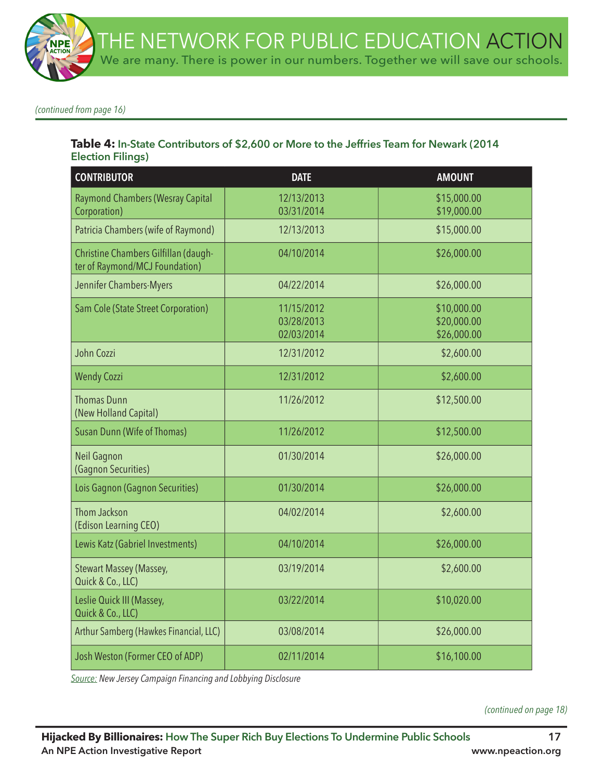*(continued from page 16)*

## **Table 4: In-State Contributors of \$2,600 or More to the Jeffries Team for Newark (2014 Election Filings)**

| <b>CONTRIBUTOR</b>                                                     | <b>DATE</b>                            | <b>AMOUNT</b>                             |
|------------------------------------------------------------------------|----------------------------------------|-------------------------------------------|
| Raymond Chambers (Wesray Capital<br>Corporation)                       | 12/13/2013<br>03/31/2014               | \$15,000.00<br>\$19,000.00                |
| Patricia Chambers (wife of Raymond)                                    | 12/13/2013                             | \$15,000.00                               |
| Christine Chambers Gilfillan (daugh-<br>ter of Raymond/MCJ Foundation) | 04/10/2014                             | \$26,000.00                               |
| Jennifer Chambers-Myers                                                | 04/22/2014                             | \$26,000.00                               |
| Sam Cole (State Street Corporation)                                    | 11/15/2012<br>03/28/2013<br>02/03/2014 | \$10,000.00<br>\$20,000.00<br>\$26,000.00 |
| John Cozzi                                                             | 12/31/2012                             | \$2,600.00                                |
| <b>Wendy Cozzi</b>                                                     | 12/31/2012                             | \$2,600.00                                |
| <b>Thomas Dunn</b><br>(New Holland Capital)                            | 11/26/2012                             | \$12,500.00                               |
| <b>Susan Dunn (Wife of Thomas)</b>                                     | 11/26/2012                             | \$12,500.00                               |
| <b>Neil Gagnon</b><br>(Gagnon Securities)                              | 01/30/2014                             | \$26,000.00                               |
| Lois Gagnon (Gagnon Securities)                                        | 01/30/2014                             | \$26,000.00                               |
| Thom Jackson<br>(Edison Learning CEO)                                  | 04/02/2014                             | \$2,600.00                                |
| Lewis Katz (Gabriel Investments)                                       | 04/10/2014                             | \$26,000.00                               |
| Stewart Massey (Massey,<br>Quick & Co., LLC)                           | 03/19/2014                             | \$2,600.00                                |
| Leslie Quick III (Massey,<br>Quick & Co., LLC)                         | 03/22/2014                             | \$10,020.00                               |
| Arthur Samberg (Hawkes Financial, LLC)                                 | 03/08/2014                             | \$26,000.00                               |
| Josh Weston (Former CEO of ADP)                                        | 02/11/2014                             | \$16,100.00                               |

*Source: New Jersey Campaign Financing and Lobbying Disclosure*

*(continued on page 18)*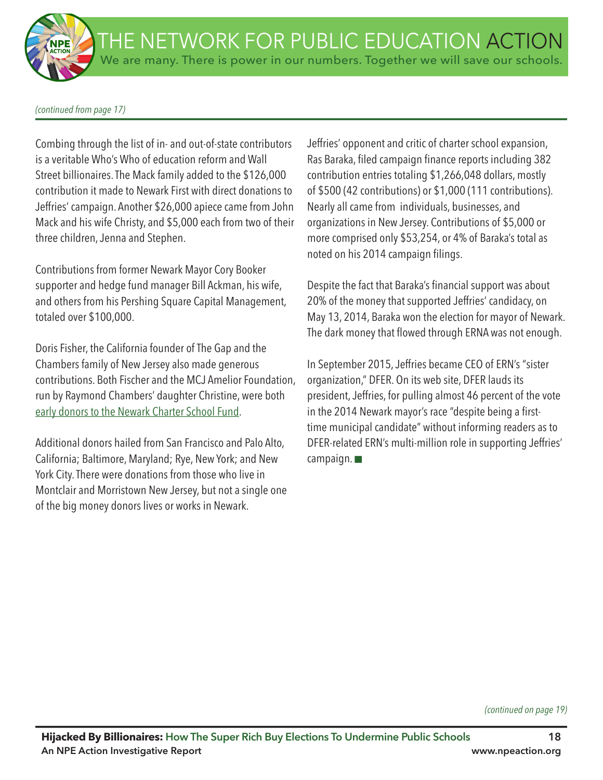#### *(continued from page 17)*

Combing through the list of in- and out-of-state contributors is a veritable Who's Who of education reform and Wall Street billionaires. The Mack family added to the \$126,000 contribution it made to Newark First with direct donations to Jeffries' campaign. Another \$26,000 apiece came from John Mack and his wife Christy, and \$5,000 each from two of their three children, Jenna and Stephen.

Contributions from former Newark Mayor Cory Booker supporter and hedge fund manager Bill Ackman, his wife, and others from his Pershing Square Capital Management, totaled over \$100,000.

Doris Fisher, the California founder of The Gap and the Chambers family of New Jersey also made generous contributions. Both Fischer and the MCJ Amelior Foundation, run by Raymond Chambers' daughter Christine, were both early donors to the Newark Charter School Fund.

Additional donors hailed from San Francisco and Palo Alto, California; Baltimore, Maryland; Rye, New York; and New York City. There were donations from those who live in Montclair and Morristown New Jersey, but not a single one of the big money donors lives or works in Newark.

Jeffries' opponent and critic of charter school expansion, Ras Baraka, fled campaign fnance reports including 382 contribution entries totaling \$1,266,048 dollars, mostly of \$500 (42 contributions) or \$1,000 (111 contributions). Nearly all came from individuals, businesses, and organizations in New Jersey. Contributions of \$5,000 or more comprised only \$53,254, or 4% of Baraka's total as noted on his 2014 campaign flings.

Despite the fact that Baraka's fnancial support was about 20% of the money that supported Jeffries' candidacy, on May 13, 2014, Baraka won the election for mayor of Newark. The dark money that flowed through ERNA was not enough.

In September 2015, Jeffries became CEO of ERN's "sister organization," DFER. On its web site, DFER lauds its president, Jeffries, for pulling almost 46 percent of the vote in the 2014 Newark mayor's race "despite being a firsttime municipal candidate" without informing readers as to DFER-related ERN's multi-million role in supporting Jeffries' campaign.  $\square$